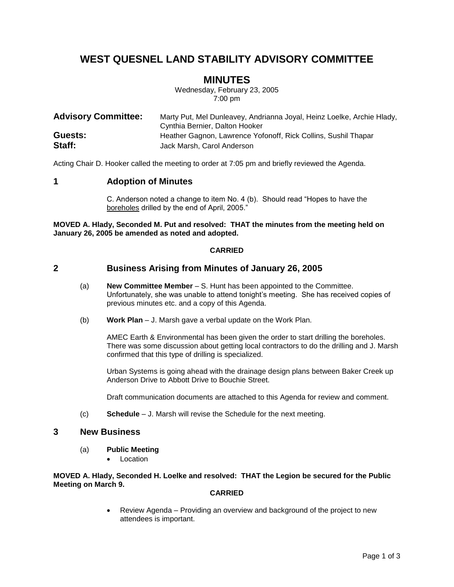# **WEST QUESNEL LAND STABILITY ADVISORY COMMITTEE**

## **MINUTES**

Wednesday, February 23, 2005 7:00 pm

| <b>Advisory Committee:</b> | Marty Put, Mel Dunleavey, Andrianna Joyal, Heinz Loelke, Archie Hlady,<br>Cynthia Bernier, Dalton Hooker |
|----------------------------|----------------------------------------------------------------------------------------------------------|
| Guests:                    | Heather Gagnon, Lawrence Yofonoff, Rick Collins, Sushil Thapar                                           |
| Staff:                     | Jack Marsh, Carol Anderson                                                                               |

Acting Chair D. Hooker called the meeting to order at 7:05 pm and briefly reviewed the Agenda.

## **1 Adoption of Minutes**

C. Anderson noted a change to item No. 4 (b). Should read "Hopes to have the boreholes drilled by the end of April, 2005."

**MOVED A. Hlady, Seconded M. Put and resolved: THAT the minutes from the meeting held on January 26, 2005 be amended as noted and adopted.**

#### **CARRIED**

## **2 Business Arising from Minutes of January 26, 2005**

- (a) **New Committee Member** S. Hunt has been appointed to the Committee. Unfortunately, she was unable to attend tonight's meeting. She has received copies of previous minutes etc. and a copy of this Agenda.
- (b) **Work Plan** J. Marsh gave a verbal update on the Work Plan.

AMEC Earth & Environmental has been given the order to start drilling the boreholes. There was some discussion about getting local contractors to do the drilling and J. Marsh confirmed that this type of drilling is specialized.

Urban Systems is going ahead with the drainage design plans between Baker Creek up Anderson Drive to Abbott Drive to Bouchie Street.

Draft communication documents are attached to this Agenda for review and comment.

(c) **Schedule** – J. Marsh will revise the Schedule for the next meeting.

### **3 New Business**

- (a) **Public Meeting**
	- Location

#### **MOVED A. Hlady, Seconded H. Loelke and resolved: THAT the Legion be secured for the Public Meeting on March 9.**

### **CARRIED**

 Review Agenda – Providing an overview and background of the project to new attendees is important.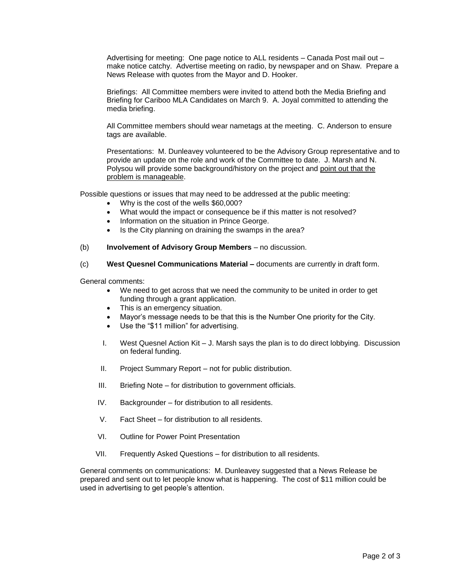Advertising for meeting: One page notice to ALL residents – Canada Post mail out – make notice catchy. Advertise meeting on radio, by newspaper and on Shaw. Prepare a News Release with quotes from the Mayor and D. Hooker.

Briefings: All Committee members were invited to attend both the Media Briefing and Briefing for Cariboo MLA Candidates on March 9. A. Joyal committed to attending the media briefing.

All Committee members should wear nametags at the meeting. C. Anderson to ensure tags are available.

Presentations: M. Dunleavey volunteered to be the Advisory Group representative and to provide an update on the role and work of the Committee to date. J. Marsh and N. Polysou will provide some background/history on the project and point out that the problem is manageable.

Possible questions or issues that may need to be addressed at the public meeting:

- Why is the cost of the wells \$60,000?
- What would the impact or consequence be if this matter is not resolved?
- Information on the situation in Prince George.
- Is the City planning on draining the swamps in the area?
- (b) **Involvement of Advisory Group Members** no discussion.
- (c) **West Quesnel Communications Material –** documents are currently in draft form.

General comments:

- We need to get across that we need the community to be united in order to get funding through a grant application.
- This is an emergency situation.
- Mayor's message needs to be that this is the Number One priority for the City.
- Use the "\$11 million" for advertising.
- I. West Quesnel Action Kit J. Marsh says the plan is to do direct lobbying. Discussion on federal funding.
- II. Project Summary Report not for public distribution.
- III. Briefing Note for distribution to government officials.
- IV. Backgrounder for distribution to all residents.
- V. Fact Sheet for distribution to all residents.
- VI. Outline for Power Point Presentation
- VII. Frequently Asked Questions for distribution to all residents.

General comments on communications: M. Dunleavey suggested that a News Release be prepared and sent out to let people know what is happening. The cost of \$11 million could be used in advertising to get people's attention.